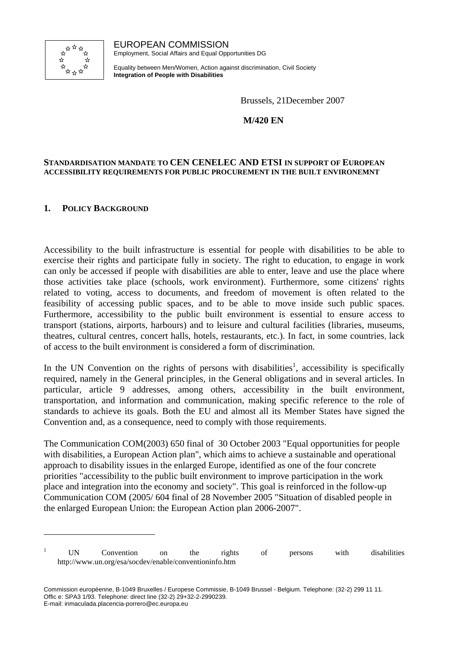

EUROPEAN COMMISSION Employment, Social Affairs and Equal Opportunities DG

Equality between Men/Women, Action against discrimination, Civil Society **Integration of People with Disabilities**

Brussels, 21December 2007

**M/420 EN** 

#### **STANDARDISATION MANDATE TO CEN CENELEC AND ETSI IN SUPPORT OF EUROPEAN ACCESSIBILITY REQUIREMENTS FOR PUBLIC PROCUREMENT IN THE BUILT ENVIRONEMNT**

### **1. POLICY BACKGROUND**

 $\overline{a}$ 

Accessibility to the built infrastructure is essential for people with disabilities to be able to exercise their rights and participate fully in society. The right to education, to engage in work can only be accessed if people with disabilities are able to enter, leave and use the place where those activities take place (schools, work environment). Furthermore, some citizens' rights related to voting, access to documents, and freedom of movement is often related to the feasibility of accessing public spaces, and to be able to move inside such public spaces. Furthermore, accessibility to the public built environment is essential to ensure access to transport (stations, airports, harbours) and to leisure and cultural facilities (libraries, museums, theatres, cultural centres, concert halls, hotels, restaurants, etc.). In fact, in some countries, lack of access to the built environment is considered a form of discrimination.

In the UN Convention on the rights of persons with disabilities<sup>1</sup>, accessibility is specifically required, namely in the General principles, in the General obligations and in several articles. In particular, article 9 addresses, among others, accessibility in the built environment, transportation, and information and communication, making specific reference to the role of standards to achieve its goals. Both the EU and almost all its Member States have signed the Convention and, as a consequence, need to comply with those requirements.

The Communication COM(2003) 650 final of 30 October 2003 "Equal opportunities for people with disabilities, a European Action plan", which aims to achieve a sustainable and operational approach to disability issues in the enlarged Europe, identified as one of the four concrete priorities "accessibility to the public built environment to improve participation in the work place and integration into the economy and society". This goal is reinforced in the follow-up Communication COM (2005/ 604 final of 28 November 2005 "Situation of disabled people in the enlarged European Union: the European Action plan 2006-2007".

<sup>&</sup>lt;sup>1</sup> UN Convention on the rights of persons with disabilities http://www.un.org/esa/socdev/enable/conventioninfo.htm

Commission européenne, B-1049 Bruxelles / Europese Commissie, B-1049 Brussel - Belgium. Telephone: (32-2) 299 11 11. Offic e: SPA3 1/93. Telephone: direct line (32-2) 29+32-2-2990239. E-mail: inmaculada.placencia-porrero@ec.europa.eu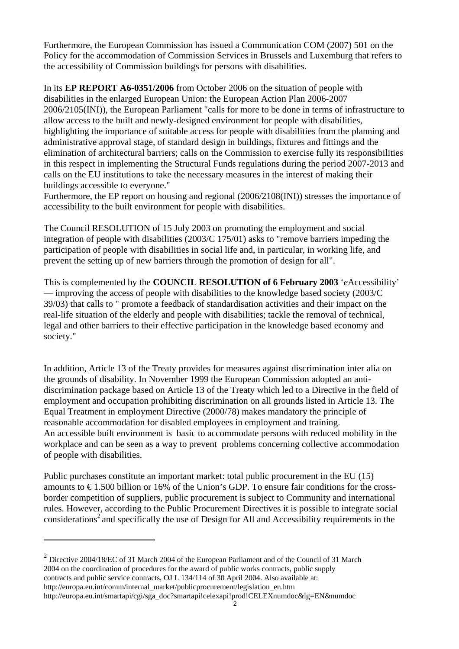Furthermore, the European Commission has issued a Communication COM (2007) 501 on the Policy for the accommodation of Commission Services in Brussels and Luxemburg that refers to the accessibility of Commission buildings for persons with disabilities.

In its **EP REPORT A6-0351/2006** from October 2006 on the situation of people with disabilities in the enlarged European Union: the European Action Plan 2006-2007 2006/2105(INI)), the European Parliament "calls for more to be done in terms of infrastructure to allow access to the built and newly-designed environment for people with disabilities, highlighting the importance of suitable access for people with disabilities from the planning and administrative approval stage, of standard design in buildings, fixtures and fittings and the elimination of architectural barriers; calls on the Commission to exercise fully its responsibilities in this respect in implementing the Structural Funds regulations during the period 2007-2013 and calls on the EU institutions to take the necessary measures in the interest of making their buildings accessible to everyone."

Furthermore, the EP report on housing and regional (2006/2108(INI)) stresses the importance of accessibility to the built environment for people with disabilities.

The Council RESOLUTION of 15 July 2003 on promoting the employment and social integration of people with disabilities (2003/C 175/01) asks to "remove barriers impeding the participation of people with disabilities in social life and, in particular, in working life, and prevent the setting up of new barriers through the promotion of design for all".

This is complemented by the **COUNCIL RESOLUTION of 6 February 2003** '*e*Accessibility' — improving the access of people with disabilities to the knowledge based society (2003/C 39/03) that calls to " promote a feedback of standardisation activities and their impact on the real-life situation of the elderly and people with disabilities; tackle the removal of technical, legal and other barriers to their effective participation in the knowledge based economy and society."

In addition, Article 13 of the Treaty provides for measures against discrimination inter alia on the grounds of disability. In November 1999 the European Commission adopted an antidiscrimination package based on Article 13 of the Treaty which led to a Directive in the field of employment and occupation prohibiting discrimination on all grounds listed in Article 13. The Equal Treatment in employment Directive (2000/78) makes mandatory the principle of reasonable accommodation for disabled employees in employment and training. An accessible built environment is basic to accommodate persons with reduced mobility in the workplace and can be seen as a way to prevent problems concerning collective accommodation of people with disabilities.

Public purchases constitute an important market: total public procurement in the EU (15) amounts to  $\epsilon$ 1.500 billion or 16% of the Union's GDP. To ensure fair conditions for the crossborder competition of suppliers, public procurement is subject to Community and international rules. However, according to the Public Procurement Directives it is possible to integrate social considerations<sup>2</sup> and specifically the use of Design for All and Accessibility requirements in the

 $\overline{a}$ 

 $^{2}$  Directive 2004/18/EC of 31 March 2004 of the European Parliament and of the Council of 31 March 2004 on the coordination of procedures for the award of public works contracts, public supply contracts and public service contracts, OJ L 134/114 of 30 April 2004. Also available at: http://europa.eu.int/comm/internal\_market/publicprocurement/legislation\_en.htm http://europa.eu.int/smartapi/cgi/sga\_doc?smartapi!celexapi!prod!CELEXnumdoc&lg=EN&numdoc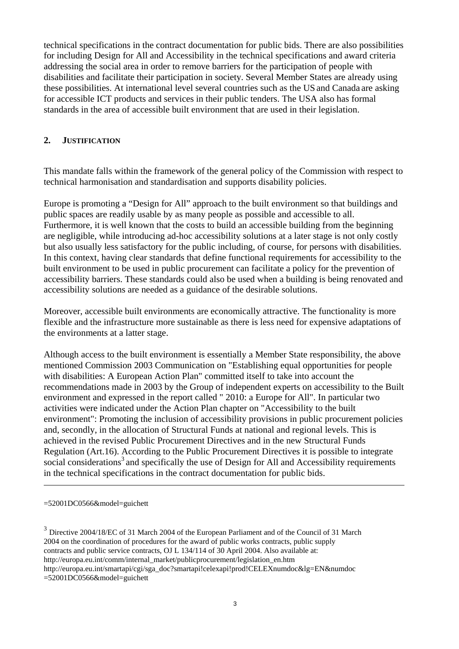technical specifications in the contract documentation for public bids. There are also possibilities for including Design for All and Accessibility in the technical specifications and award criteria addressing the social area in order to remove barriers for the participation of people with disabilities and facilitate their participation in society. Several Member States are already using these possibilities. At international level several countries such as the US and Canada are asking for accessible ICT products and services in their public tenders. The USA also has formal standards in the area of accessible built environment that are used in their legislation.

### **2. JUSTIFICATION**

This mandate falls within the framework of the general policy of the Commission with respect to technical harmonisation and standardisation and supports disability policies.

Europe is promoting a "Design for All" approach to the built environment so that buildings and public spaces are readily usable by as many people as possible and accessible to all. Furthermore, it is well known that the costs to build an accessible building from the beginning are negligible, while introducing ad-hoc accessibility solutions at a later stage is not only costly but also usually less satisfactory for the public including, of course, for persons with disabilities. In this context, having clear standards that define functional requirements for accessibility to the built environment to be used in public procurement can facilitate a policy for the prevention of accessibility barriers. These standards could also be used when a building is being renovated and accessibility solutions are needed as a guidance of the desirable solutions.

Moreover, accessible built environments are economically attractive. The functionality is more flexible and the infrastructure more sustainable as there is less need for expensive adaptations of the environments at a latter stage.

Although access to the built environment is essentially a Member State responsibility, the above mentioned Commission 2003 Communication on "Establishing equal opportunities for people with disabilities: A European Action Plan" committed itself to take into account the recommendations made in 2003 by the Group of independent experts on accessibility to the Built environment and expressed in the report called " 2010: a Europe for All". In particular two activities were indicated under the Action Plan chapter on "Accessibility to the built environment": Promoting the inclusion of accessibility provisions in public procurement policies and, secondly, in the allocation of Structural Funds at national and regional levels. This is achieved in the revised Public Procurement Directives and in the new Structural Funds Regulation (Art.16). According to the Public Procurement Directives it is possible to integrate social considerations<sup>3</sup> and specifically the use of Design for All and Accessibility requirements in the technical specifications in the contract documentation for public bids.

 $\overline{a}$ 

<sup>3</sup> Directive 2004/18/EC of 31 March 2004 of the European Parliament and of the Council of 31 March 2004 on the coordination of procedures for the award of public works contracts, public supply contracts and public service contracts, OJ L 134/114 of 30 April 2004. Also available at: http://europa.eu.int/comm/internal\_market/publicprocurement/legislation\_en.htm http://europa.eu.int/smartapi/cgi/sga\_doc?smartapi!celexapi!prod!CELEXnumdoc&lg=EN&numdoc =52001DC0566&model=guichett

<sup>=52001</sup>DC0566&model=guichett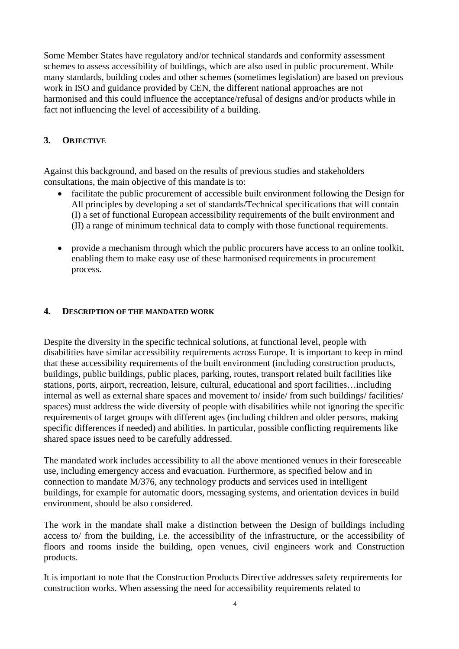Some Member States have regulatory and/or technical standards and conformity assessment schemes to assess accessibility of buildings, which are also used in public procurement. While many standards, building codes and other schemes (sometimes legislation) are based on previous work in ISO and guidance provided by CEN, the different national approaches are not harmonised and this could influence the acceptance/refusal of designs and/or products while in fact not influencing the level of accessibility of a building.

## **3. OBJECTIVE**

Against this background, and based on the results of previous studies and stakeholders consultations, the main objective of this mandate is to:

- facilitate the public procurement of accessible built environment following the Design for All principles by developing a set of standards/Technical specifications that will contain (I) a set of functional European accessibility requirements of the built environment and (II) a range of minimum technical data to comply with those functional requirements.
- provide a mechanism through which the public procurers have access to an online toolkit, enabling them to make easy use of these harmonised requirements in procurement process.

#### **4. DESCRIPTION OF THE MANDATED WORK**

Despite the diversity in the specific technical solutions, at functional level, people with disabilities have similar accessibility requirements across Europe. It is important to keep in mind that these accessibility requirements of the built environment (including construction products, buildings, public buildings, public places, parking, routes, transport related built facilities like stations, ports, airport, recreation, leisure, cultural, educational and sport facilities…including internal as well as external share spaces and movement to/ inside/ from such buildings/ facilities/ spaces) must address the wide diversity of people with disabilities while not ignoring the specific requirements of target groups with different ages (including children and older persons, making specific differences if needed) and abilities. In particular, possible conflicting requirements like shared space issues need to be carefully addressed.

The mandated work includes accessibility to all the above mentioned venues in their foreseeable use, including emergency access and evacuation. Furthermore, as specified below and in connection to mandate M/376, any technology products and services used in intelligent buildings, for example for automatic doors, messaging systems, and orientation devices in build environment, should be also considered.

The work in the mandate shall make a distinction between the Design of buildings including access to/ from the building, i.e. the accessibility of the infrastructure, or the accessibility of floors and rooms inside the building, open venues, civil engineers work and Construction products.

It is important to note that the Construction Products Directive addresses safety requirements for construction works. When assessing the need for accessibility requirements related to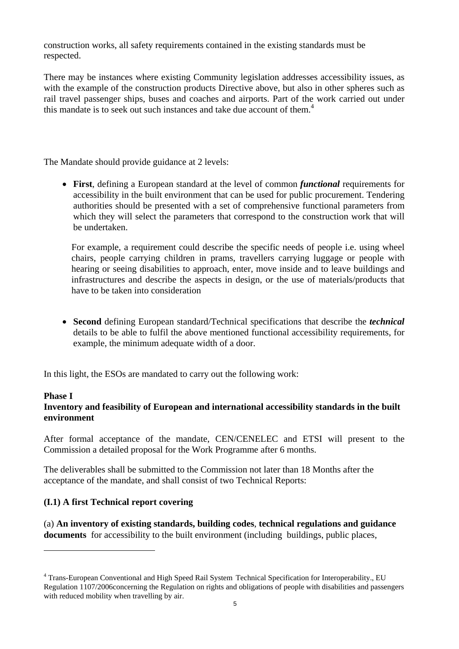construction works, all safety requirements contained in the existing standards must be respected.

There may be instances where existing Community legislation addresses accessibility issues, as with the example of the construction products Directive above, but also in other spheres such as rail travel passenger ships, buses and coaches and airports. Part of the work carried out under this mandate is to seek out such instances and take due account of them.<sup>4</sup>

The Mandate should provide guidance at 2 levels:

• **First**, defining a European standard at the level of common *functional* requirements for accessibility in the built environment that can be used for public procurement. Tendering authorities should be presented with a set of comprehensive functional parameters from which they will select the parameters that correspond to the construction work that will be undertaken.

For example, a requirement could describe the specific needs of people i.e. using wheel chairs, people carrying children in prams, travellers carrying luggage or people with hearing or seeing disabilities to approach, enter, move inside and to leave buildings and infrastructures and describe the aspects in design, or the use of materials/products that have to be taken into consideration

• **Second** defining European standard/Technical specifications that describe the *technical* details to be able to fulfil the above mentioned functional accessibility requirements, for example, the minimum adequate width of a door.

In this light, the ESOs are mandated to carry out the following work:

#### **Phase I**

 $\overline{a}$ 

## **Inventory and feasibility of European and international accessibility standards in the built environment**

After formal acceptance of the mandate, CEN/CENELEC and ETSI will present to the Commission a detailed proposal for the Work Programme after 6 months.

The deliverables shall be submitted to the Commission not later than 18 Months after the acceptance of the mandate, and shall consist of two Technical Reports:

### **(I.1) A first Technical report covering**

(a) **An inventory of existing standards, building codes**, **technical regulations and guidance documents** for accessibility to the built environment (including buildings, public places,

<sup>&</sup>lt;sup>4</sup> Trans-European Conventional and High Speed Rail System Technical Specification for Interoperability., EU Regulation 1107/2006concerning the Regulation on rights and obligations of people with disabilities and passengers with reduced mobility when travelling by air.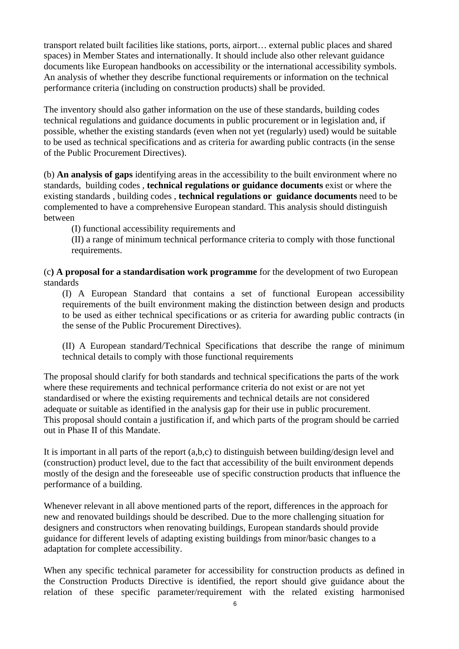transport related built facilities like stations, ports, airport… external public places and shared spaces) in Member States and internationally. It should include also other relevant guidance documents like European handbooks on accessibility or the international accessibility symbols. An analysis of whether they describe functional requirements or information on the technical performance criteria (including on construction products) shall be provided.

The inventory should also gather information on the use of these standards, building codes technical regulations and guidance documents in public procurement or in legislation and, if possible, whether the existing standards (even when not yet (regularly) used) would be suitable to be used as technical specifications and as criteria for awarding public contracts (in the sense of the Public Procurement Directives).

(b) **An analysis of gaps** identifying areas in the accessibility to the built environment where no standards, building codes , **technical regulations or guidance documents** exist or where the existing standards , building codes , **technical regulations or guidance documents** need to be complemented to have a comprehensive European standard. This analysis should distinguish between

(I) functional accessibility requirements and

(II) a range of minimum technical performance criteria to comply with those functional requirements.

(c**) A proposal for a standardisation work programme** for the development of two European standards

(I) A European Standard that contains a set of functional European accessibility requirements of the built environment making the distinction between design and products to be used as either technical specifications or as criteria for awarding public contracts (in the sense of the Public Procurement Directives).

(II) A European standard/Technical Specifications that describe the range of minimum technical details to comply with those functional requirements

The proposal should clarify for both standards and technical specifications the parts of the work where these requirements and technical performance criteria do not exist or are not yet standardised or where the existing requirements and technical details are not considered adequate or suitable as identified in the analysis gap for their use in public procurement. This proposal should contain a justification if, and which parts of the program should be carried out in Phase II of this Mandate.

It is important in all parts of the report (a,b,c) to distinguish between building/design level and (construction) product level, due to the fact that accessibility of the built environment depends mostly of the design and the foreseeable use of specific construction products that influence the performance of a building.

Whenever relevant in all above mentioned parts of the report, differences in the approach for new and renovated buildings should be described. Due to the more challenging situation for designers and constructors when renovating buildings, European standards should provide guidance for different levels of adapting existing buildings from minor/basic changes to a adaptation for complete accessibility.

When any specific technical parameter for accessibility for construction products as defined in the Construction Products Directive is identified, the report should give guidance about the relation of these specific parameter/requirement with the related existing harmonised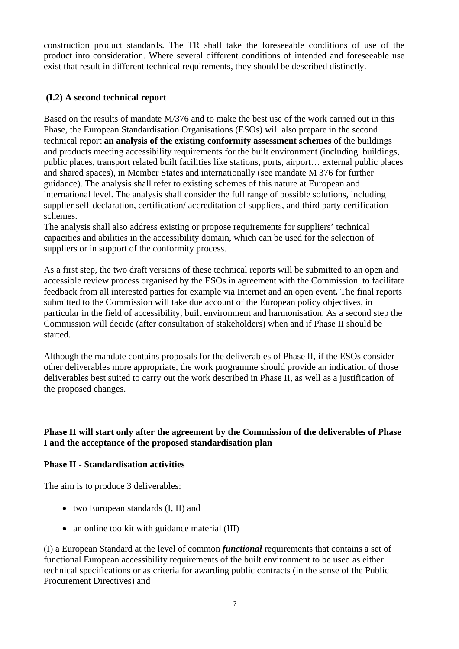construction product standards. The TR shall take the foreseeable conditions of use of the product into consideration. Where several different conditions of intended and foreseeable use exist that result in different technical requirements, they should be described distinctly.

## **(I.2) A second technical report**

Based on the results of mandate M/376 and to make the best use of the work carried out in this Phase, the European Standardisation Organisations (ESOs) will also prepare in the second technical report **an analysis of the existing conformity assessment schemes** of the buildings and products meeting accessibility requirements for the built environment (including buildings, public places, transport related built facilities like stations, ports, airport… external public places and shared spaces), in Member States and internationally (see mandate M 376 for further guidance). The analysis shall refer to existing schemes of this nature at European and international level. The analysis shall consider the full range of possible solutions, including supplier self-declaration, certification/ accreditation of suppliers, and third party certification schemes.

The analysis shall also address existing or propose requirements for suppliers' technical capacities and abilities in the accessibility domain, which can be used for the selection of suppliers or in support of the conformity process.

As a first step, the two draft versions of these technical reports will be submitted to an open and accessible review process organised by the ESOs in agreement with the Commission to facilitate feedback from all interested parties for example via Internet and an open event**.** The final reports submitted to the Commission will take due account of the European policy objectives, in particular in the field of accessibility, built environment and harmonisation. As a second step the Commission will decide (after consultation of stakeholders) when and if Phase II should be started.

Although the mandate contains proposals for the deliverables of Phase II, if the ESOs consider other deliverables more appropriate, the work programme should provide an indication of those deliverables best suited to carry out the work described in Phase II, as well as a justification of the proposed changes.

### **Phase II will start only after the agreement by the Commission of the deliverables of Phase I and the acceptance of the proposed standardisation plan**

## **Phase II - Standardisation activities**

The aim is to produce 3 deliverables:

- two European standards (I, II) and
- an online toolkit with guidance material (III)

(I) a European Standard at the level of common *functional* requirements that contains a set of functional European accessibility requirements of the built environment to be used as either technical specifications or as criteria for awarding public contracts (in the sense of the Public Procurement Directives) and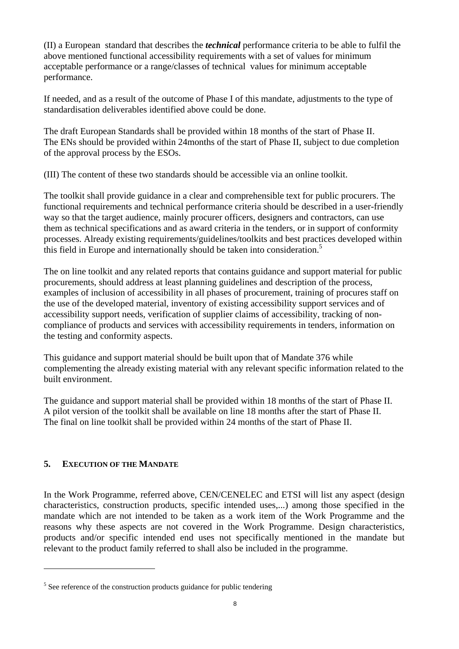(II) a European standard that describes the *technical* performance criteria to be able to fulfil the above mentioned functional accessibility requirements with a set of values for minimum acceptable performance or a range/classes of technical values for minimum acceptable performance.

If needed, and as a result of the outcome of Phase I of this mandate, adjustments to the type of standardisation deliverables identified above could be done.

The draft European Standards shall be provided within 18 months of the start of Phase II. The ENs should be provided within 24months of the start of Phase II, subject to due completion of the approval process by the ESOs.

(III) The content of these two standards should be accessible via an online toolkit.

The toolkit shall provide guidance in a clear and comprehensible text for public procurers. The functional requirements and technical performance criteria should be described in a user-friendly way so that the target audience, mainly procurer officers, designers and contractors, can use them as technical specifications and as award criteria in the tenders, or in support of conformity processes. Already existing requirements/guidelines/toolkits and best practices developed within this field in Europe and internationally should be taken into consideration.<sup>5</sup>

The on line toolkit and any related reports that contains guidance and support material for public procurements, should address at least planning guidelines and description of the process, examples of inclusion of accessibility in all phases of procurement, training of procures staff on the use of the developed material, inventory of existing accessibility support services and of accessibility support needs, verification of supplier claims of accessibility, tracking of noncompliance of products and services with accessibility requirements in tenders, information on the testing and conformity aspects.

This guidance and support material should be built upon that of Mandate 376 while complementing the already existing material with any relevant specific information related to the built environment.

The guidance and support material shall be provided within 18 months of the start of Phase II. A pilot version of the toolkit shall be available on line 18 months after the start of Phase II. The final on line toolkit shall be provided within 24 months of the start of Phase II.

# **5. EXECUTION OF THE MANDATE**

 $\overline{a}$ 

In the Work Programme, referred above, CEN/CENELEC and ETSI will list any aspect (design characteristics, construction products, specific intended uses,...) among those specified in the mandate which are not intended to be taken as a work item of the Work Programme and the reasons why these aspects are not covered in the Work Programme. Design characteristics, products and/or specific intended end uses not specifically mentioned in the mandate but relevant to the product family referred to shall also be included in the programme.

 $5$  See reference of the construction products guidance for public tendering